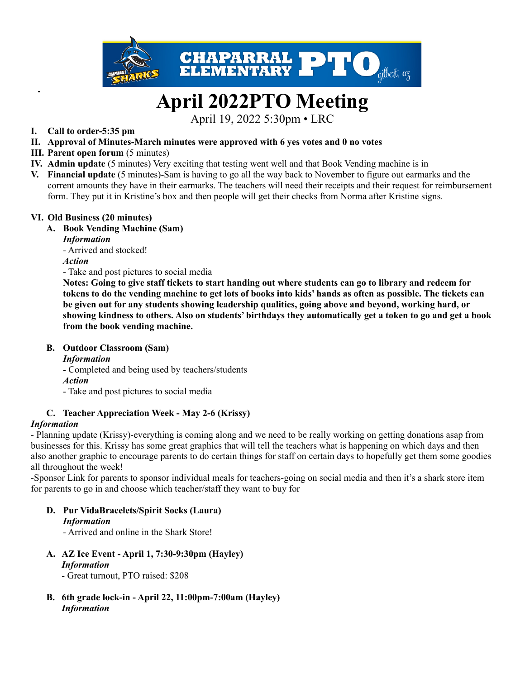

# **April 2022PTO Meeting**

April 19, 2022 5:30pm • LRC

## **I. Call to order-5:35 pm**

- **II. Approval of Minutes-March minutes were approved with 6 yes votes and 0 no votes**
- **III. Parent open forum** (5 minutes)
- **IV. Admin update** (5 minutes) Very exciting that testing went well and that Book Vending machine is in
- **V. Financial update** (5 minutes)-Sam is having to go all the way back to November to figure out earmarks and the corrent amounts they have in their earmarks. The teachers will need their receipts and their request for reimbursement form. They put it in Kristine's box and then people will get their checks from Norma after Kristine signs.

## **VI. Old Business (20 minutes)**

## **A. Book Vending Machine (Sam)**

## *Information*

- Arrived and stocked!

*Action*

- Take and post pictures to social media

Notes: Going to give staff tickets to start handing out where students can go to library and redeem for tokens to do the vending machine to get lots of books into kids' hands as often as possible. The tickets can **be given out for any students showing leadership qualities, going above and beyond, working hard, or** showing kindness to others. Also on students' birthdays they automatically get a token to go and get a book **from the book vending machine.**

## **B. Outdoor Classroom (Sam)**

*Information*

- Completed and being used by teachers/students

*Action*

- Take and post pictures to social media

## **C. Teacher Appreciation Week - May 2-6 (Krissy)**

## *Information*

- Planning update (Krissy)-everything is coming along and we need to be really working on getting donations asap from businesses for this. Krissy has some great graphics that will tell the teachers what is happening on which days and then also another graphic to encourage parents to do certain things for staff on certain days to hopefully get them some goodies all throughout the week!

-Sponsor Link for parents to sponsor individual meals for teachers-going on social media and then it's a shark store item for parents to go in and choose which teacher/staff they want to buy for

## **D. Pur VidaBracelets/Spirit Socks (Laura)**

## *Information*

- Arrived and online in the Shark Store!

**A. AZ Ice Event - April 1, 7:30-9:30pm (Hayley)** *Information*

- Great turnout, PTO raised: \$208

**B. 6th grade lock-in - April 22, 11:00pm-7:00am (Hayley)** *Information*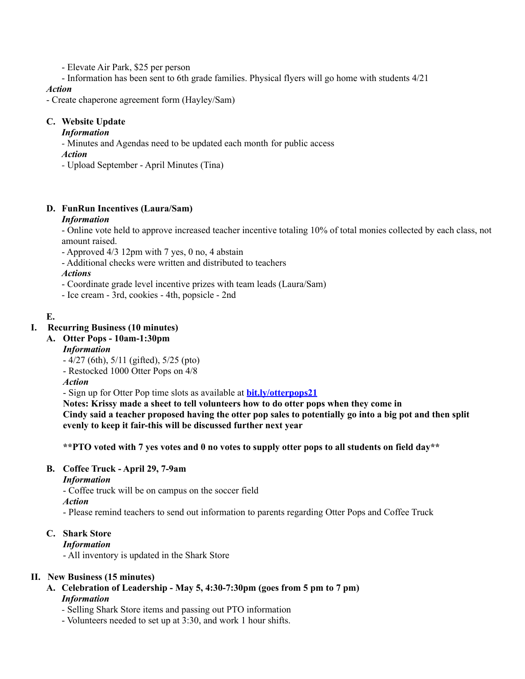- Elevate Air Park, \$25 per person

- Information has been sent to 6th grade families. Physical flyers will go home with students 4/21

#### *Action*

- Create chaperone agreement form (Hayley/Sam)

## **C. Website Update**

## *Information*

*-* Minutes and Agendas need to be updated each month for public access

- *Action*
- *-* Upload September April Minutes (Tina)

## **D. FunRun Incentives (Laura/Sam)**

## *Information*

- Online vote held to approve increased teacher incentive totaling 10% of total monies collected by each class, not amount raised.

- Approved 4/3 12pm with 7 yes, 0 no, 4 abstain

- Additional checks were written and distributed to teachers

*Actions*

- Coordinate grade level incentive prizes with team leads (Laura/Sam)
- Ice cream 3rd, cookies 4th, popsicle 2nd

## **E.**

## **I. Recurring Business (10 minutes)**

## **A. Otter Pops - 10am-1:30pm**

*Information*

- 4/27 (6th), 5/11 (gifted), 5/25 (pto)

- Restocked 1000 Otter Pops on 4/8

*Action*

- Sign up for Otter Pop time slots as available at **[bit.ly/otterpops21](http://bit.ly/otterpops21)**

**Notes: Krissy made a sheet to tell volunteers how to do otter pops when they come in** Cindy said a teacher proposed having the otter pop sales to potentially go into a big pot and then split **evenly to keep it fair-this will be discussed further next year**

\*\*PTO voted with 7 yes votes and 0 no votes to supply otter pops to all students on field day\*\*

## **B. Coffee Truck - April 29, 7-9am**

*Information*

- Coffee truck will be on campus on the soccer field

*Action*

- Please remind teachers to send out information to parents regarding Otter Pops and Coffee Truck

## **C. Shark Store**

## *Information*

- All inventory is updated in the Shark Store

## **II. New Business (15 minutes)**

- **A. Celebration of Leadership - May 5, 4:30-7:30pm (goes from 5 pm to 7 pm)** *Information*
	- *-* Selling Shark Store items and passing out PTO information
	- Volunteers needed to set up at 3:30, and work 1 hour shifts.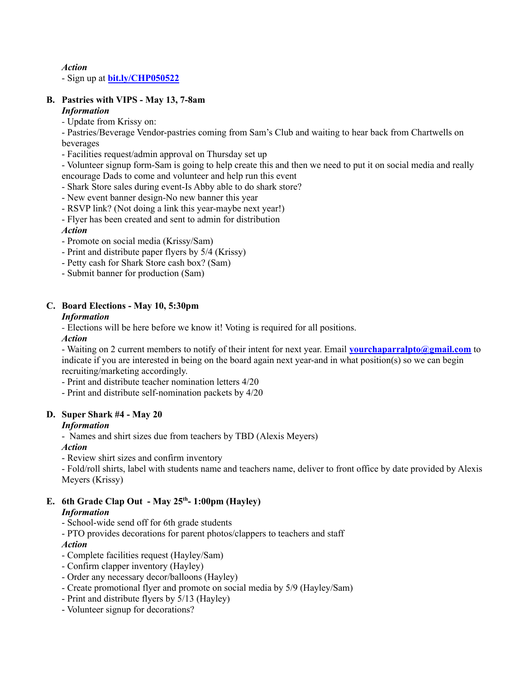#### *Action*

- Sign up at **[bit.ly/CHP050522](http://bit.ly/CHP050522)**

## **B. Pastries with VIPS - May 13, 7-8am**

#### *Information*

*-* Update from Krissy on:

- Pastries/Beverage Vendor-pastries coming from Sam's Club and waiting to hear back from Chartwells on beverages

- Facilities request/admin approval on Thursday set up

- Volunteer signup form-Sam is going to help create this and then we need to put it on social media and really encourage Dads to come and volunteer and help run this event

- Shark Store sales during event-Is Abby able to do shark store?

- New event banner design-No new banner this year

- RSVP link? (Not doing a link this year-maybe next year!)

- Flyer has been created and sent to admin for distribution

## *Action*

- Promote on social media (Krissy/Sam)
- Print and distribute paper flyers by 5/4 (Krissy)
- Petty cash for Shark Store cash box? (Sam)
- Submit banner for production (Sam)

## **C. Board Elections - May 10, 5:30pm**

## *Information*

*-* Elections will be here before we know it! Voting is required for all positions.

*Action*

- Waiting on 2 current members to notify of their intent for next year. Email **[yourchaparralpto@gmail.com](mailto:yourchaparralpto@gmail.com)** to indicate if you are interested in being on the board again next year-and in what position(s) so we can begin recruiting/marketing accordingly.

- Print and distribute teacher nomination letters 4/20
- Print and distribute self-nomination packets by 4/20

## **D. Super Shark #4 - May 20**

## *Information*

- Names and shirt sizes due from teachers by TBD (Alexis Meyers)

*Action*

- Review shirt sizes and confirm inventory

- Fold/roll shirts, label with students name and teachers name, deliver to front office by date provided by Alexis Meyers (Krissy)

## **E. 6th Grade Clap Out - May 25 th - 1:00pm (Hayley)**

## *Information*

- School-wide send off for 6th grade students

- PTO provides decorations for parent photos/clappers to teachers and staff

## *Action*

- Complete facilities request (Hayley/Sam)
- Confirm clapper inventory (Hayley)
- Order any necessary decor/balloons (Hayley)
- Create promotional flyer and promote on social media by 5/9 (Hayley/Sam)
- Print and distribute flyers by 5/13 (Hayley)
- Volunteer signup for decorations?